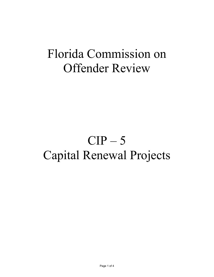# Florida Commission on Offender Review

# $CIP - 5$ Capital Renewal Projects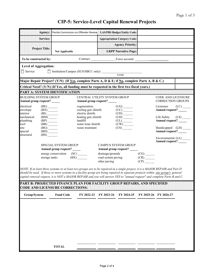### **CIP-5: Service-Level Capital Renewal Projects**

|                                                             |                                                                    | Agency: Florida Commission on Offender Review LAS/PBS Budget Entity Code:                                                                                                                                                                                                                                                                                                                                                                                                                                                   |                                                             |                                        |                                                           |                             |                                                       |                         |
|-------------------------------------------------------------|--------------------------------------------------------------------|-----------------------------------------------------------------------------------------------------------------------------------------------------------------------------------------------------------------------------------------------------------------------------------------------------------------------------------------------------------------------------------------------------------------------------------------------------------------------------------------------------------------------------|-------------------------------------------------------------|----------------------------------------|-----------------------------------------------------------|-----------------------------|-------------------------------------------------------|-------------------------|
|                                                             | Service:                                                           |                                                                                                                                                                                                                                                                                                                                                                                                                                                                                                                             |                                                             |                                        | <b>Appropriation Category Code:</b>                       |                             |                                                       |                         |
|                                                             |                                                                    |                                                                                                                                                                                                                                                                                                                                                                                                                                                                                                                             |                                                             |                                        | <b>Agency Priority:</b>                                   |                             |                                                       |                         |
|                                                             | <b>Project Title:</b>                                              | <b>Not Applicable</b>                                                                                                                                                                                                                                                                                                                                                                                                                                                                                                       |                                                             |                                        | <b>LRPP Narrative Page:</b>                               |                             |                                                       |                         |
| To be constructed by:                                       |                                                                    |                                                                                                                                                                                                                                                                                                                                                                                                                                                                                                                             |                                                             |                                        |                                                           |                             |                                                       |                         |
| <b>Level of Aggregation:</b>                                |                                                                    |                                                                                                                                                                                                                                                                                                                                                                                                                                                                                                                             |                                                             |                                        |                                                           |                             |                                                       |                         |
| $\Box$ Service                                              |                                                                    | □ Institution/Campus (SUS/SBCC only):                                                                                                                                                                                                                                                                                                                                                                                                                                                                                       |                                                             |                                        | <b>NAME</b>                                               |                             |                                                       |                         |
|                                                             |                                                                    | Major Repair Project? (Y/N) (If Yes, complete Parts A, D & E; if No, complete Parts A, B & C.)                                                                                                                                                                                                                                                                                                                                                                                                                              |                                                             |                                        |                                                           |                             |                                                       |                         |
|                                                             |                                                                    | Critical Need? (Y/N) (If Yes, all funding must be requested in the first two fiscal years.)                                                                                                                                                                                                                                                                                                                                                                                                                                 |                                                             |                                        |                                                           |                             |                                                       |                         |
|                                                             |                                                                    | PART A: SYSTEM IDENTIFICATION                                                                                                                                                                                                                                                                                                                                                                                                                                                                                               |                                                             |                                        |                                                           |                             |                                                       |                         |
| <b>BUILDING SYSTEM GROUP</b><br>Annual group request? _____ |                                                                    |                                                                                                                                                                                                                                                                                                                                                                                                                                                                                                                             | CENTRAL UTILITY SYSTEM GROUP<br>Annual group request? _____ |                                        |                                                           |                             | <b>CODE AND LICENSURE</b><br><b>CORRECTION GROUPS</b> |                         |
| electrical<br>envelope<br>interior                          | $(BE)$ <sub>______</sub><br>(BX)                                   |                                                                                                                                                                                                                                                                                                                                                                                                                                                                                                                             | cogeneration<br>cooling gen./distrib.<br>electric distrib.  |                                        | $(UC)$ <sup>-</sup><br>$\overline{(UD)}$                  |                             | Licensure<br>Annual request?                          | $(LC)$ <sub>_____</sub> |
| mechanical<br>plumbing<br>roof                              | (BI)<br>(BM)<br>$(BP)$ <sub>_____</sub><br>$(BR)$ <sub>_____</sub> |                                                                                                                                                                                                                                                                                                                                                                                                                                                                                                                             | heating gen./distrib.<br>landfill<br>water treat./distrib.  |                                        | (UH)<br>(UL)                                              |                             | Annual request?                                       |                         |
| site<br>special<br>structural                               | (BG)<br>$(BD)$ <sub>_____</sub><br>(BS)                            |                                                                                                                                                                                                                                                                                                                                                                                                                                                                                                                             | waste treatment                                             |                                        | (US)                                                      |                             | Handicapped (LH)<br>Annual request?                   |                         |
|                                                             |                                                                    | SPECIAL SYSTEM GROUP<br>Annual group request? _____<br>energy conservation (SC) _______                                                                                                                                                                                                                                                                                                                                                                                                                                     |                                                             | drainage/grounds<br>road system paving | <b>CAMPUS SYSTEM GROUP</b><br>Annual group request? _____ | (CG)<br>$\frac{(CR)}{(CP)}$ | Environmental (LE) ______<br>Annual request? ___      |                         |
|                                                             |                                                                    | NOTE: If at least three systems or at least two groups are to be repaired in a single project, it is a MAJOR REPAIR and Part D<br>should be used. If three or more systems in a facility group are being repaired in separate projects within one group's general<br>capital renewal request, it is NOT a MAJOR REPAIR and you will answer YES to "annual request" and complete Parts B and C.<br><b>PART B: PROJECTED FINANCE PLAN FOR FACILITY GROUP REPAIRS. AND SPECIFIED</b><br><b>CODE AND LICENSURE CORRECTIONS:</b> |                                                             | other paving                           |                                                           |                             |                                                       |                         |
| Group/System                                                |                                                                    | <b>Fund Code</b>                                                                                                                                                                                                                                                                                                                                                                                                                                                                                                            |                                                             | FY 2022-23 FY 2023-24                  | FY 2024-25                                                |                             | FY 2025-26 FY 2026-27                                 |                         |
|                                                             |                                                                    | <b>TOTAL</b>                                                                                                                                                                                                                                                                                                                                                                                                                                                                                                                |                                                             |                                        |                                                           |                             |                                                       |                         |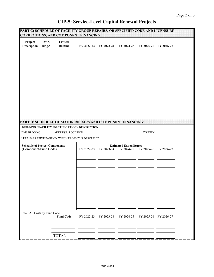### **CIP-5: Service-Level Capital Renewal Projects**

|                                                                |                      | PART C: SCHEDULE OF FACILITY GROUP REPAIRS, OR SPECIFIED CODE AND LICENSURE<br><b>CORRECTIONS, AND COMPONENT FINANCING:</b> |            |            |                                                                                         |            |            |  |
|----------------------------------------------------------------|----------------------|-----------------------------------------------------------------------------------------------------------------------------|------------|------------|-----------------------------------------------------------------------------------------|------------|------------|--|
| Project<br><b>Description</b>                                  | <b>DMS</b><br>Bldg.# | <b>Critical</b><br>Routine                                                                                                  |            |            | FY 2022-23 FY 2023-24 FY 2024-25 FY 2025-26 FY 2026-27                                  |            |            |  |
|                                                                |                      |                                                                                                                             |            |            |                                                                                         |            |            |  |
|                                                                |                      |                                                                                                                             |            |            |                                                                                         |            |            |  |
|                                                                |                      | PART D: SCHEDULE OF MAJOR REPAIRS AND COMPONENT FINANCING:                                                                  |            |            |                                                                                         |            |            |  |
|                                                                |                      | <b>BUILDING / FACILITY IDENTIFICATION / DESCRIPTION</b>                                                                     |            |            |                                                                                         |            | COUNTY     |  |
|                                                                |                      | LRPP NARRATIVE PAGE ON WHICH PROJECT IS DESCRIBED                                                                           |            |            |                                                                                         |            |            |  |
| <b>Schedule of Project Components</b><br>(Component/Fund Code) |                      |                                                                                                                             |            |            | <b>Estimated Expenditures</b><br>FY 2022-23 FY 2023-24 FY 2024-25 FY 2025-26 FY 2026-27 |            |            |  |
|                                                                |                      |                                                                                                                             |            |            |                                                                                         |            |            |  |
|                                                                |                      |                                                                                                                             |            |            |                                                                                         |            |            |  |
|                                                                |                      |                                                                                                                             |            |            |                                                                                         |            |            |  |
|                                                                |                      |                                                                                                                             |            |            |                                                                                         |            |            |  |
| Total: All Costs by Fund Code                                  |                      | <b>Fund Code</b>                                                                                                            | FY 2022-23 | FY 2023-24 | FY 2024-25                                                                              | FY 2025-26 | FY 2026-27 |  |
|                                                                |                      | <b>TOTAL</b>                                                                                                                |            |            |                                                                                         |            |            |  |